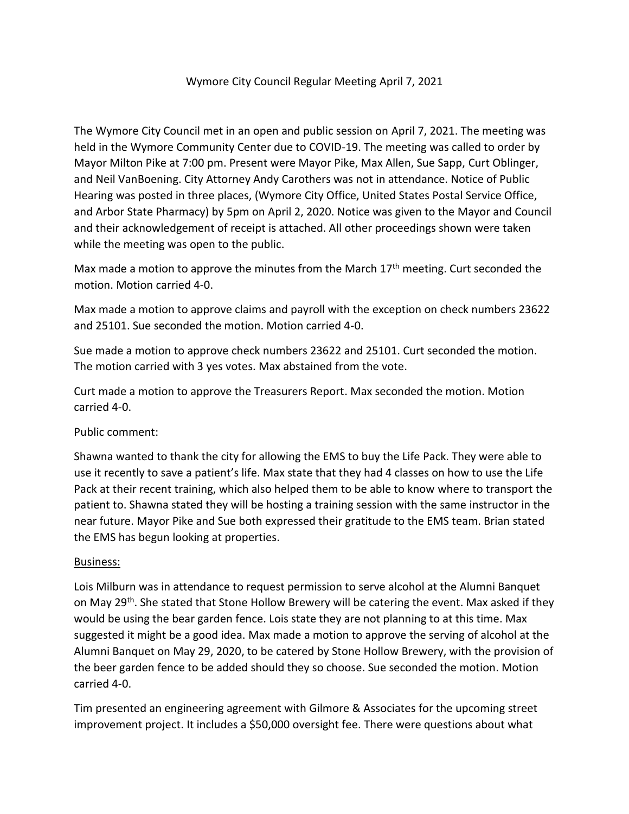## Wymore City Council Regular Meeting April 7, 2021

The Wymore City Council met in an open and public session on April 7, 2021. The meeting was held in the Wymore Community Center due to COVID-19. The meeting was called to order by Mayor Milton Pike at 7:00 pm. Present were Mayor Pike, Max Allen, Sue Sapp, Curt Oblinger, and Neil VanBoening. City Attorney Andy Carothers was not in attendance. Notice of Public Hearing was posted in three places, (Wymore City Office, United States Postal Service Office, and Arbor State Pharmacy) by 5pm on April 2, 2020. Notice was given to the Mayor and Council and their acknowledgement of receipt is attached. All other proceedings shown were taken while the meeting was open to the public.

Max made a motion to approve the minutes from the March  $17<sup>th</sup>$  meeting. Curt seconded the motion. Motion carried 4-0.

Max made a motion to approve claims and payroll with the exception on check numbers 23622 and 25101. Sue seconded the motion. Motion carried 4-0.

Sue made a motion to approve check numbers 23622 and 25101. Curt seconded the motion. The motion carried with 3 yes votes. Max abstained from the vote.

Curt made a motion to approve the Treasurers Report. Max seconded the motion. Motion carried 4-0.

Public comment:

Shawna wanted to thank the city for allowing the EMS to buy the Life Pack. They were able to use it recently to save a patient's life. Max state that they had 4 classes on how to use the Life Pack at their recent training, which also helped them to be able to know where to transport the patient to. Shawna stated they will be hosting a training session with the same instructor in the near future. Mayor Pike and Sue both expressed their gratitude to the EMS team. Brian stated the EMS has begun looking at properties.

## Business:

Lois Milburn was in attendance to request permission to serve alcohol at the Alumni Banquet on May 29<sup>th</sup>. She stated that Stone Hollow Brewery will be catering the event. Max asked if they would be using the bear garden fence. Lois state they are not planning to at this time. Max suggested it might be a good idea. Max made a motion to approve the serving of alcohol at the Alumni Banquet on May 29, 2020, to be catered by Stone Hollow Brewery, with the provision of the beer garden fence to be added should they so choose. Sue seconded the motion. Motion carried 4-0.

Tim presented an engineering agreement with Gilmore & Associates for the upcoming street improvement project. It includes a \$50,000 oversight fee. There were questions about what